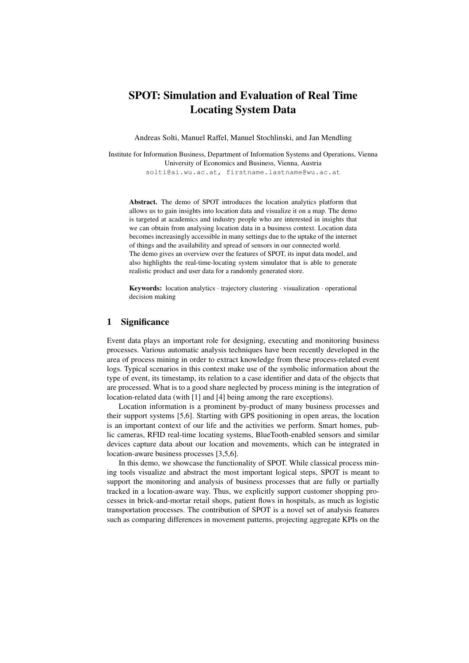# SPOT: Simulation and Evaluation of Real Time Locating System Data

Andreas Solti, Manuel Raffel, Manuel Stochlinski, and Jan Mendling

Institute for Information Business, Department of Information Systems and Operations, Vienna University of Economics and Business, Vienna, Austria solti@ai.wu.ac.at, firstname.lastname@wu.ac.at

Abstract. The demo of SPOT introduces the location analytics platform that allows us to gain insights into location data and visualize it on a map. The demo is targeted at academics and industry people who are interested in insights that we can obtain from analysing location data in a business context. Location data becomes increasingly accessible in many settings due to the uptake of the internet of things and the availability and spread of sensors in our connected world. The demo gives an overview over the features of SPOT, its input data model, and also highlights the real-time-locating system simulator that is able to generate realistic product and user data for a randomly generated store.

Keywords: location analytics *·* trajectory clustering *·* visualization *·* operational decision making

#### 1 Significance

Event data plays an important role for designing, executing and monitoring business processes. Various automatic analysis techniques have been recently developed in the area of process mining in order to extract knowledge from these process-related event logs. Typical scenarios in this context make use of the symbolic information about the type of event, its timestamp, its relation to a case identifier and data of the objects that are processed. What is to a good share neglected by process mining is the integration of location-related data (with [1] and [4] being among the rare exceptions).

Location information is a prominent by-product of many business processes and their support systems [5,6]. Starting with GPS positioning in open areas, the location is an important context of our life and the activities we perform. Smart homes, public cameras, RFID real-time locating systems, BlueTooth-enabled sensors and similar devices capture data about our location and movements, which can be integrated in location-aware business processes [3,5,6].

In this demo, we showcase the functionality of SPOT. While classical process mining tools visualize and abstract the most important logical steps, SPOT is meant to support the monitoring and analysis of business processes that are fully or partially tracked in a location-aware way. Thus, we explicitly support customer shopping processes in brick-and-mortar retail shops, patient flows in hospitals, as much as logistic transportation processes. The contribution of SPOT is a novel set of analysis features such as comparing differences in movement patterns, projecting aggregate KPIs on the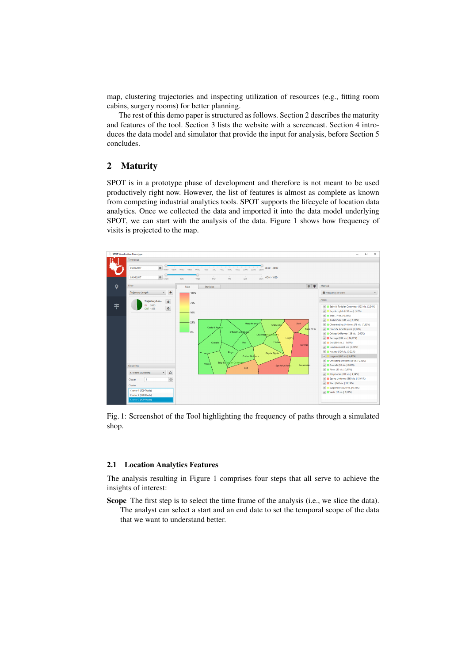map, clustering trajectories and inspecting utilization of resources (e.g., fitting room cabins, surgery rooms) for better planning.

The rest of this demo paper is structured as follows. Section 2 describes the maturity and features of the tool. Section 3 lists the website with a screencast. Section 4 introduces the data model and simulator that provide the input for analysis, before Section 5 concludes.

## 2 Maturity

SPOT is in a prototype phase of development and therefore is not meant to be used productively right now. However, the list of features is almost as complete as known from competing industrial analytics tools. SPOT supports the lifecycle of location data analytics. Once we collected the data and imported it into the data model underlying SPOT, we can start with the analysis of the data. Figure 1 shows how frequency of visits is projected to the map.



Fig. 1: Screenshot of the Tool highlighting the frequency of paths through a simulated shop.

#### 2.1 Location Analytics Features

The analysis resulting in Figure 1 comprises four steps that all serve to achieve the insights of interest:

Scope The first step is to select the time frame of the analysis (i.e., we slice the data). The analyst can select a start and an end date to set the temporal scope of the data that we want to understand better.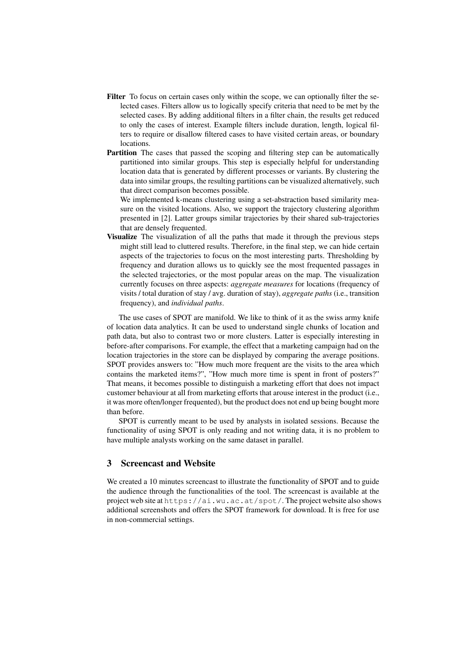- Filter To focus on certain cases only within the scope, we can optionally filter the selected cases. Filters allow us to logically specify criteria that need to be met by the selected cases. By adding additional filters in a filter chain, the results get reduced to only the cases of interest. Example filters include duration, length, logical filters to require or disallow filtered cases to have visited certain areas, or boundary locations.
- Partition The cases that passed the scoping and filtering step can be automatically partitioned into similar groups. This step is especially helpful for understanding location data that is generated by different processes or variants. By clustering the data into similar groups, the resulting partitions can be visualized alternatively, such that direct comparison becomes possible.

We implemented k-means clustering using a set-abstraction based similarity measure on the visited locations. Also, we support the trajectory clustering algorithm presented in [2]. Latter groups similar trajectories by their shared sub-trajectories that are densely frequented.

Visualize The visualization of all the paths that made it through the previous steps might still lead to cluttered results. Therefore, in the final step, we can hide certain aspects of the trajectories to focus on the most interesting parts. Thresholding by frequency and duration allows us to quickly see the most frequented passages in the selected trajectories, or the most popular areas on the map. The visualization currently focuses on three aspects: *aggregate measures* for locations (frequency of visits / total duration of stay / avg. duration of stay), *aggregate paths* (i.e., transition frequency), and *individual paths*.

The use cases of SPOT are manifold. We like to think of it as the swiss army knife of location data analytics. It can be used to understand single chunks of location and path data, but also to contrast two or more clusters. Latter is especially interesting in before-after comparisons. For example, the effect that a marketing campaign had on the location trajectories in the store can be displayed by comparing the average positions. SPOT provides answers to: "How much more frequent are the visits to the area which contains the marketed items?", "How much more time is spent in front of posters?" That means, it becomes possible to distinguish a marketing effort that does not impact customer behaviour at all from marketing efforts that arouse interest in the product (i.e., it was more often/longer frequented), but the product does not end up being bought more than before.

SPOT is currently meant to be used by analysts in isolated sessions. Because the functionality of using SPOT is only reading and not writing data, it is no problem to have multiple analysts working on the same dataset in parallel.

# 3 Screencast and Website

We created a 10 minutes screencast to illustrate the functionality of SPOT and to guide the audience through the functionalities of the tool. The screencast is available at the project web site at https://ai.wu.ac.at/spot/. The project website also shows additional screenshots and offers the SPOT framework for download. It is free for use in non-commercial settings.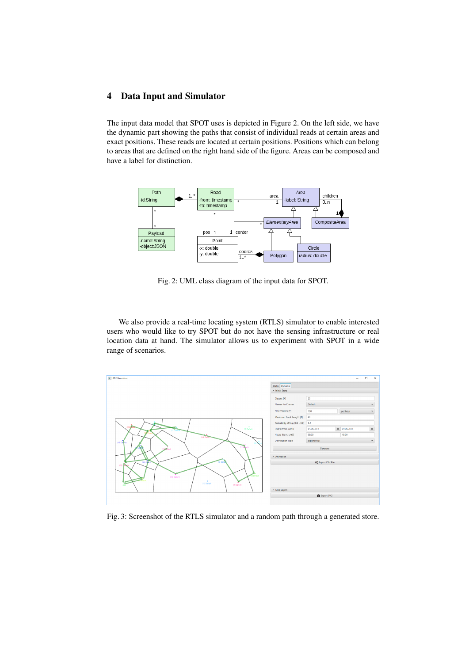## 4 Data Input and Simulator

The input data model that SPOT uses is depicted in Figure 2. On the left side, we have the dynamic part showing the paths that consist of individual reads at certain areas and exact positions. These reads are located at certain positions. Positions which can belong to areas that are defined on the right hand side of the figure. Areas can be composed and have a label for distinction.



Fig. 2: UML class diagram of the input data for SPOT.

We also provide a real-time locating system (RTLS) simulator to enable interested users who would like to try SPOT but do not have the sensing infrastructure or real location data at hand. The simulator allows us to experiment with SPOT in a wide range of scenarios.



Fig. 3: Screenshot of the RTLS simulator and a random path through a generated store.